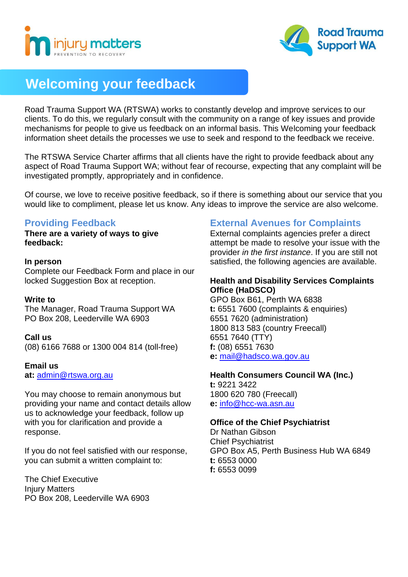



# **Welcoming your feedback**

Road Trauma Support WA (RTSWA) works to constantly develop and improve services to our clients. To do this, we regularly consult with the community on a range of key issues and provide mechanisms for people to give us feedback on an informal basis. This Welcoming your feedback information sheet details the processes we use to seek and respond to the feedback we receive.

The RTSWA Service Charter affirms that all clients have the right to provide feedback about any aspect of Road Trauma Support WA; without fear of recourse, expecting that any complaint will be investigated promptly, appropriately and in confidence.

Of course, we love to receive positive feedback, so if there is something about our service that you would like to compliment, please let us know. Any ideas to improve the service are also welcome.

# **Providing Feedback**

**There are a variety of ways to give feedback:**

#### **In person**

Complete our Feedback Form and place in our locked Suggestion Box at reception.

# **Write to**

The Manager, Road Trauma Support WA PO Box 208, Leederville WA 6903

# **Call us**

(08) 6166 7688 or 1300 004 814 (toll-free)

#### **Email us**

**at:** [admin@rtswa.org.au](mailto:admin@rtswa.org.au)

You may choose to remain anonymous but providing your name and contact details allow us to acknowledge your feedback, follow up with you for clarification and provide a response.

If you do not feel satisfied with our response, you can submit a written complaint to:

The Chief Executive Injury Matters PO Box 208, Leederville WA 6903

# **External Avenues for Complaints**

External complaints agencies prefer a direct attempt be made to resolve your issue with the provider *in the first instance*. If you are still not satisfied, the following agencies are available.

## **Health and Disability Services Complaints Office (HaDSCO)**

GPO Box B61, Perth WA 6838 **t:** 6551 7600 (complaints & enquiries) 6551 7620 (administration) 1800 813 583 (country Freecall) 6551 7640 (TTY) **f:** (08) 6551 7630 **e:** [mail@hadsco.wa.gov.au](mailto:mail@hadsco.wa.gov.au)

# **Health Consumers Council WA (Inc.) t:** 9221 3422

1800 620 780 (Freecall) **e:** [info@hcc-wa.asn.au](mailto:info@hcc-wa.asn.au)

# **Office of the Chief Psychiatrist**

Dr Nathan Gibson Chief Psychiatrist GPO Box A5, Perth Business Hub WA 6849 **t:** 6553 0000 **f:** 6553 0099